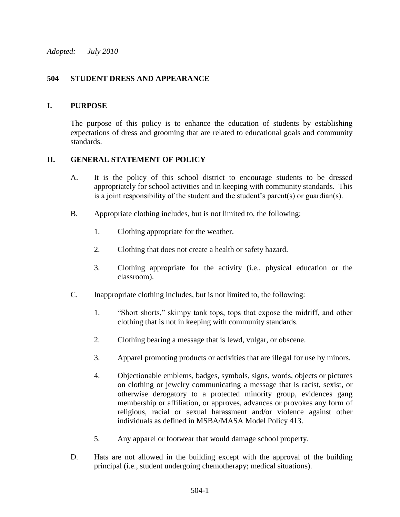## **504 STUDENT DRESS AND APPEARANCE**

## **I. PURPOSE**

The purpose of this policy is to enhance the education of students by establishing expectations of dress and grooming that are related to educational goals and community standards.

## **II. GENERAL STATEMENT OF POLICY**

- A. It is the policy of this school district to encourage students to be dressed appropriately for school activities and in keeping with community standards. This is a joint responsibility of the student and the student's parent(s) or guardian(s).
- B. Appropriate clothing includes, but is not limited to, the following:
	- 1. Clothing appropriate for the weather.
	- 2. Clothing that does not create a health or safety hazard.
	- 3. Clothing appropriate for the activity (i.e., physical education or the classroom).
- C. Inappropriate clothing includes, but is not limited to, the following:
	- 1. "Short shorts," skimpy tank tops, tops that expose the midriff, and other clothing that is not in keeping with community standards.
	- 2. Clothing bearing a message that is lewd, vulgar, or obscene.
	- 3. Apparel promoting products or activities that are illegal for use by minors.
	- 4. Objectionable emblems, badges, symbols, signs, words, objects or pictures on clothing or jewelry communicating a message that is racist, sexist, or otherwise derogatory to a protected minority group, evidences gang membership or affiliation, or approves, advances or provokes any form of religious, racial or sexual harassment and/or violence against other individuals as defined in MSBA/MASA Model Policy 413.
	- 5. Any apparel or footwear that would damage school property.
- D. Hats are not allowed in the building except with the approval of the building principal (i.e., student undergoing chemotherapy; medical situations).